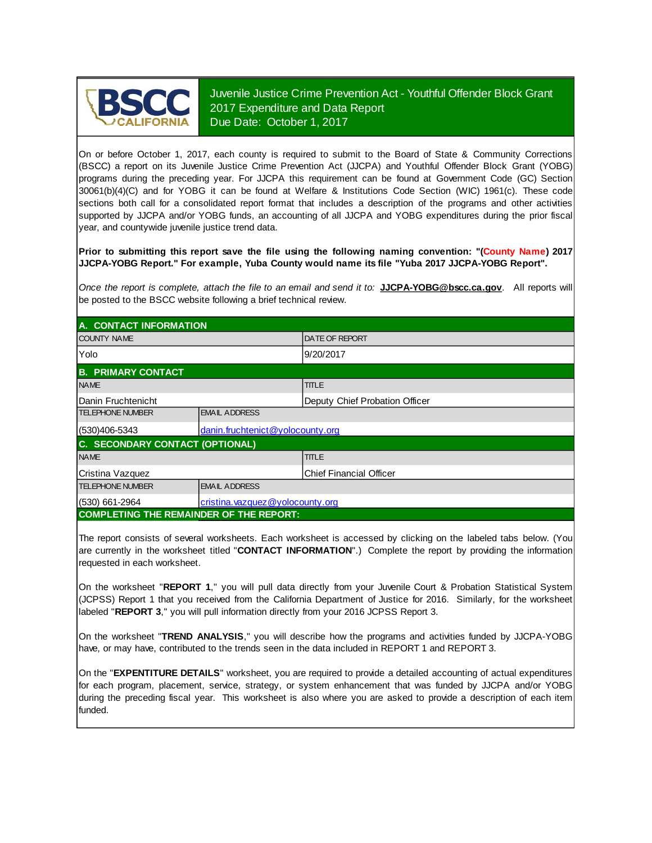

Juvenile Justice Crime Prevention Act - Youthful Offender Block Grant 2017 Expenditure and Data Report Due Date: October 1, 2017

On or before October 1, 2017, each county is required to submit to the Board of State & Community Corrections (BSCC) <sup>a</sup> report on its Juvenile Justice Crime Prevention Act (JJCPA) and Youthful Offender Block Grant (YOBG) programs during the preceding year. For JJCPA this requirement can be found at Government Code (GC) Section 30061(b)(4)(C) and for YOBG it can be found at Welfare & Institutions Code Section (WIC) 1961(c). These code sections both call for <sup>a</sup> consolidated report format that includes <sup>a</sup> description of the programs and other activities supported by JJCPA and/or YOBG funds, an accounting of all JJCPA and YOBG expenditures during the prior fiscal year, and countywide juvenile justice trend data.

**Prior to submitting this report save the file using the following naming convention: "(County Name) 2017 JJCPA-YOBG Report." For example, Yuba County would name its file "Yuba 2017 JJCPA-YOBG Report".**

Once the report is complete, attach the file to an email and send it to: JJCPA-YOBG@bscc.ca.gov. All reports will be posted to the BSCC website following a brief technical review.

| A. CONTACT INFORMATION                            |                                  |                                |  |  |
|---------------------------------------------------|----------------------------------|--------------------------------|--|--|
| <b>COUNTY NAME</b>                                |                                  | <b>DATE OF REPORT</b>          |  |  |
| Yolo                                              |                                  | 9/20/2017                      |  |  |
| <b>B. PRIMARY CONTACT</b>                         |                                  |                                |  |  |
| <b>NAME</b>                                       |                                  | <b>TITLE</b>                   |  |  |
| Danin Fruchtenicht                                |                                  | Deputy Chief Probation Officer |  |  |
| <b>TELEPHONE NUMBER</b>                           | <b>EMAIL ADDRESS</b>             |                                |  |  |
| (530)406-5343                                     | danin.fruchtenict@yolocounty.org |                                |  |  |
| C. SECONDARY CONTACT (OPTIONAL)                   |                                  |                                |  |  |
| <b>NAME</b>                                       |                                  | <b>TITLE</b>                   |  |  |
| Cristina Vazquez                                  |                                  | <b>Chief Financial Officer</b> |  |  |
| <b>TELEPHONE NUMBER</b>                           | <b>EMAIL ADDRESS</b>             |                                |  |  |
| (530) 661-2964<br>cristina.vazquez@yolocounty.org |                                  |                                |  |  |
| <b>COMPLETING THE REMAINDER OF THE REPORT:</b>    |                                  |                                |  |  |

The report consists of several worksheets. Each worksheet is accessed by clicking on the labeled tabs below. (You are currently in the worksheet titled "**CONTACT INFORMATION**".) Complete the report by providing the information requested in each worksheet.

On the worksheet "REPORT 1," you will pull data directly from your Juvenile Court & Probation Statistical System (JCPSS) Report 1 that you received from the California Department of Justice for 2016. Similarly, for the worksheet labeled "**REPORT 3**," you will pull information directly from your 2016 JCPSS Report 3.

On the worksheet "**TREND ANALYSIS**, " you will describe how the programs and activities funded by JJCPA-YOBG have, or may have, contributed to the trends seen in the data included in REPORT 1 and REPORT 3.

On the "EXPENTITURE DETAILS" worksheet, you are required to provide a detailed accounting of actual expenditures for each program, placement, service, strategy, or system enhancement that was funded by JJCPA and/or YOBG during the preceding fiscal year. This worksheet is also where you are asked to provide a description of each item funded.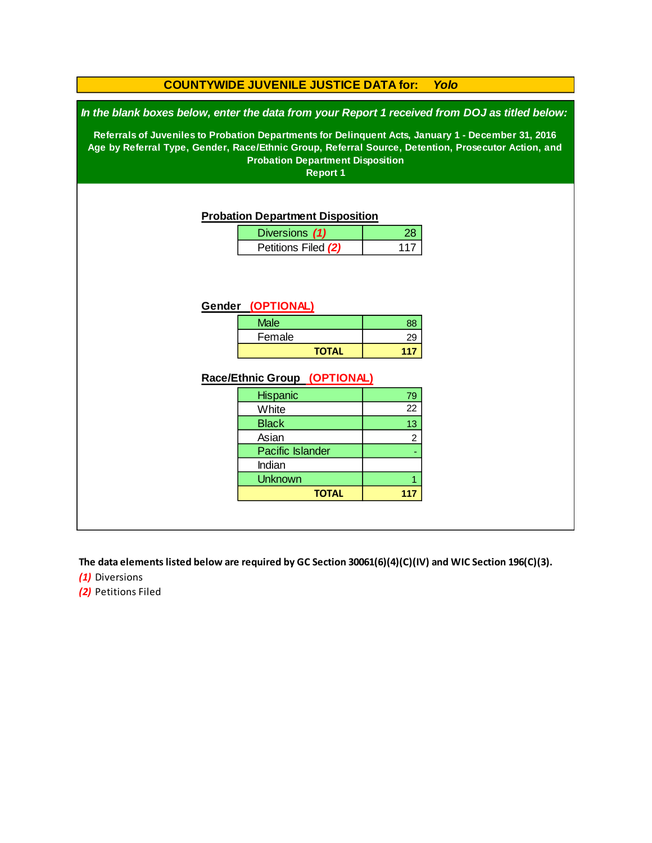### **COUNTYWIDE JUVENILE JUSTICE DATA for:** *Yolo*

*In the blank boxes below, enter the data from your Report 1 received from DOJ as titled below:*

**Referrals of Juveniles to Probation Departments for Delinquent Acts, January 1 - December 31, 2016 Age by Referral Type, Gender, Race/Ethnic Group, Referral Source, Detention, Prosecutor Action, and Probation Department Disposition**

**Report 1**

#### **Probation Department Disposition**

| Diversions (1)      |  |
|---------------------|--|
| Petitions Filed (2) |  |

#### **Gender (OPTIONAL)**

| <b>Male</b>  | 88 |
|--------------|----|
| Female       | 29 |
| <b>TOTAL</b> |    |

#### **Race/Ethnic Group (OPTIONAL)**

| <b>Hispanic</b>         | 79             |
|-------------------------|----------------|
| White                   | 22             |
| <b>Black</b>            | 13             |
| Asian                   | $\overline{c}$ |
| <b>Pacific Islander</b> |                |
| Indian                  |                |
| <b>Unknown</b>          |                |
| <b>TOTAL</b>            |                |

**The data elements listed below are required by GC Section 30061(6)(4)(C)(IV) and WIC Section 196(C)(3).**

*(1)* Diversions

*(2)* Petitions Filed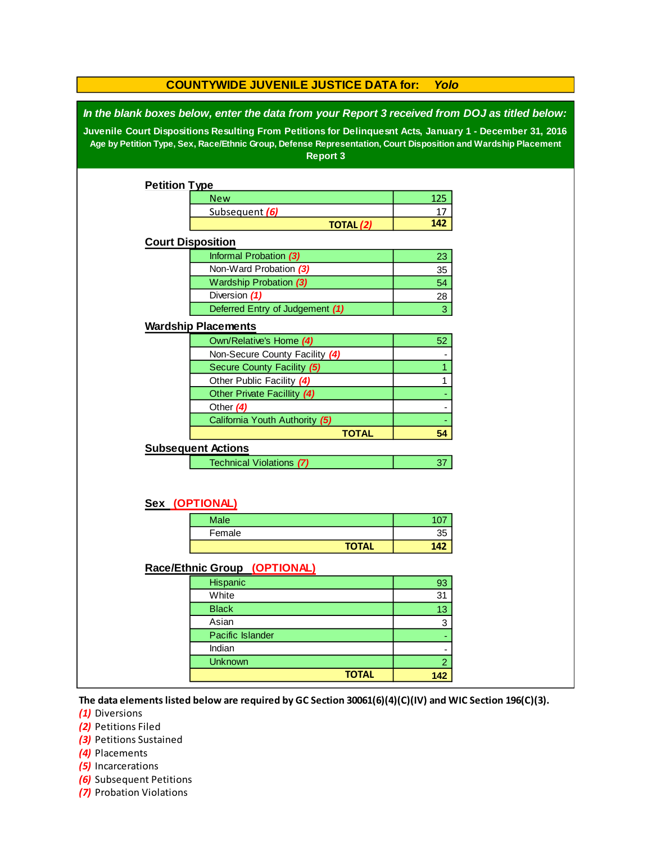|                                                                                                                                                                                                                                                                                                                                                 | <b>COUNTYWIDE JUVENILE JUSTICE DATA for:</b><br>Yolo |                |  |  |  |
|-------------------------------------------------------------------------------------------------------------------------------------------------------------------------------------------------------------------------------------------------------------------------------------------------------------------------------------------------|------------------------------------------------------|----------------|--|--|--|
| In the blank boxes below, enter the data from your Report 3 received from DOJ as titled below:<br>Juvenile Court Dispositions Resulting From Petitions for Delinquesnt Acts, January 1 - December 31, 2016<br>Age by Petition Type, Sex, Race/Ethnic Group, Defense Representation, Court Disposition and Wardship Placement<br><b>Report 3</b> |                                                      |                |  |  |  |
|                                                                                                                                                                                                                                                                                                                                                 |                                                      |                |  |  |  |
| <b>Petition Type</b>                                                                                                                                                                                                                                                                                                                            |                                                      |                |  |  |  |
|                                                                                                                                                                                                                                                                                                                                                 | <b>New</b>                                           | 125            |  |  |  |
|                                                                                                                                                                                                                                                                                                                                                 | Subsequent (6)                                       | 17             |  |  |  |
|                                                                                                                                                                                                                                                                                                                                                 | <b>TOTAL (2)</b>                                     | 142            |  |  |  |
| <b>Court Disposition</b>                                                                                                                                                                                                                                                                                                                        |                                                      |                |  |  |  |
|                                                                                                                                                                                                                                                                                                                                                 | Informal Probation (3)                               | 23             |  |  |  |
|                                                                                                                                                                                                                                                                                                                                                 | Non-Ward Probation (3)                               | 35             |  |  |  |
|                                                                                                                                                                                                                                                                                                                                                 | Wardship Probation (3)                               | 54             |  |  |  |
|                                                                                                                                                                                                                                                                                                                                                 | Diversion (1)                                        | 28             |  |  |  |
|                                                                                                                                                                                                                                                                                                                                                 | Deferred Entry of Judgement (1)                      | 3              |  |  |  |
|                                                                                                                                                                                                                                                                                                                                                 | <b>Wardship Placements</b>                           |                |  |  |  |
|                                                                                                                                                                                                                                                                                                                                                 | Own/Relative's Home (4)                              | 52             |  |  |  |
|                                                                                                                                                                                                                                                                                                                                                 | Non-Secure County Facility (4)                       |                |  |  |  |
|                                                                                                                                                                                                                                                                                                                                                 | Secure County Facility (5)                           | 1              |  |  |  |
|                                                                                                                                                                                                                                                                                                                                                 | Other Public Facility (4)                            | 1              |  |  |  |
|                                                                                                                                                                                                                                                                                                                                                 | Other Private Facillity (4)                          |                |  |  |  |
|                                                                                                                                                                                                                                                                                                                                                 | Other (4)                                            |                |  |  |  |
|                                                                                                                                                                                                                                                                                                                                                 | California Youth Authority (5)                       |                |  |  |  |
|                                                                                                                                                                                                                                                                                                                                                 | <b>TOTAL</b>                                         | 54             |  |  |  |
|                                                                                                                                                                                                                                                                                                                                                 | <b>Subsequent Actions</b>                            |                |  |  |  |
|                                                                                                                                                                                                                                                                                                                                                 | <b>Technical Violations (7)</b>                      | 37             |  |  |  |
|                                                                                                                                                                                                                                                                                                                                                 |                                                      |                |  |  |  |
|                                                                                                                                                                                                                                                                                                                                                 | Sex (OPTIONAL)                                       |                |  |  |  |
|                                                                                                                                                                                                                                                                                                                                                 | <b>Male</b>                                          | 107            |  |  |  |
|                                                                                                                                                                                                                                                                                                                                                 | Female                                               | 35             |  |  |  |
|                                                                                                                                                                                                                                                                                                                                                 | <b>TOTAL</b>                                         | 142            |  |  |  |
|                                                                                                                                                                                                                                                                                                                                                 |                                                      |                |  |  |  |
|                                                                                                                                                                                                                                                                                                                                                 | Race/Ethnic Group (OPTIONAL)                         |                |  |  |  |
|                                                                                                                                                                                                                                                                                                                                                 | Hispanic                                             | 93             |  |  |  |
|                                                                                                                                                                                                                                                                                                                                                 | White                                                | 31             |  |  |  |
|                                                                                                                                                                                                                                                                                                                                                 | <b>Black</b>                                         | 13             |  |  |  |
|                                                                                                                                                                                                                                                                                                                                                 | Asian                                                | 3              |  |  |  |
|                                                                                                                                                                                                                                                                                                                                                 | Pacific Islander                                     |                |  |  |  |
|                                                                                                                                                                                                                                                                                                                                                 | Indian                                               |                |  |  |  |
|                                                                                                                                                                                                                                                                                                                                                 | <b>Unknown</b>                                       | $\overline{2}$ |  |  |  |
|                                                                                                                                                                                                                                                                                                                                                 | <b>TOTAL</b>                                         | 142            |  |  |  |
|                                                                                                                                                                                                                                                                                                                                                 |                                                      |                |  |  |  |

**The data elements listed below are required by GC Section 30061(6)(4)(C)(IV) and WIC Section 196(C)(3).**

*(1)* Diversions

*(2)* Petitions Filed

**(3)** Petitions Sustained

*(4)* Placements

*(5)* Incarcerations

- *(6)* Subsequent Petitions
- *(7)* Probation Violations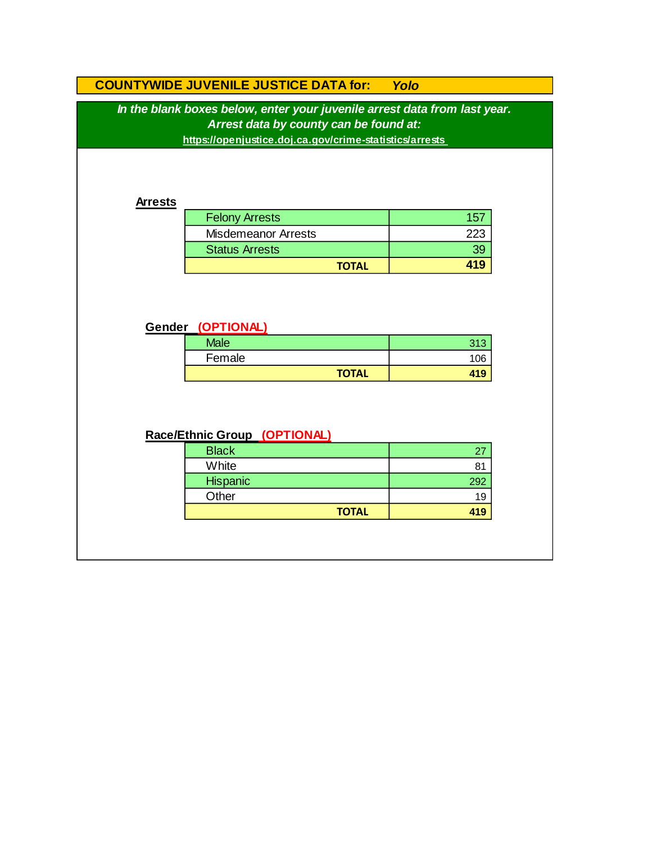# **COUNTYWIDE JUVENILE JUSTICE DATA for:** *Yolo*

*In the blank boxes below, enter your juvenile arrest data from last year. Arrest data by county can be found at:*

**https://openjustice.doj.ca.gov/crime-statistics/arrests** 

#### **Arrests**

| <b>Felony Arrests</b>      |        |
|----------------------------|--------|
| <b>Misdemeanor Arrests</b> | $22\%$ |
| <b>Status Arrests</b>      | 39     |
| <b>TOTAL</b>               |        |

### **Gender (OPTIONAL)**

| <b>Male</b> |              | <b>040</b><br>U I U |
|-------------|--------------|---------------------|
| Female      |              | 106                 |
|             | <b>TOTAL</b> | 419                 |

## **Race/Ethnic Group (OPTIONAL)**

| <b>Black</b> |     |
|--------------|-----|
| White        |     |
| Hispanic     | 292 |
| Other        | 19  |
| <b>TOTAL</b> | 419 |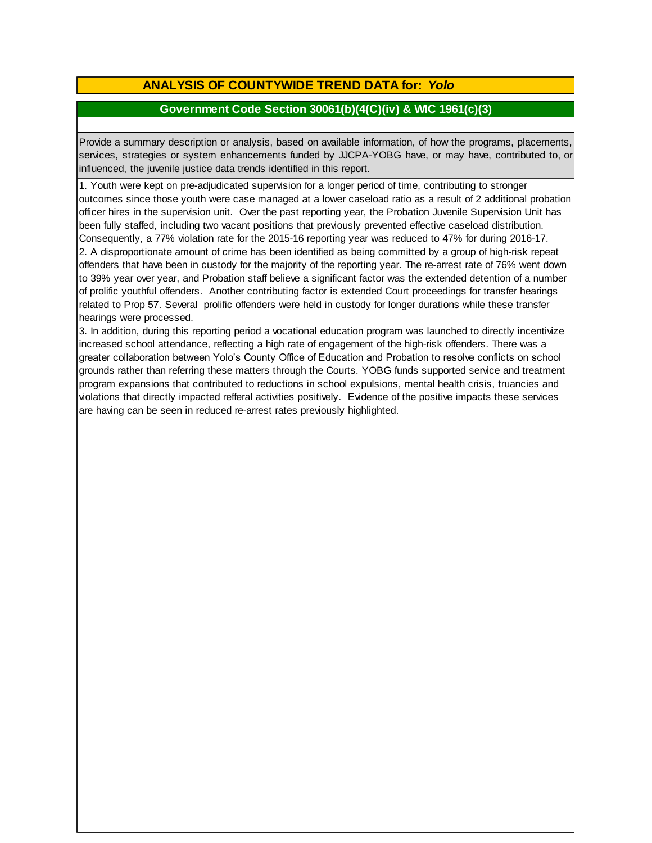## **ANALYSIS OF COUNTYWIDE TREND DATA for:** *Yolo*

### **Government Code Section 30061(b)(4(C)(iv) & WIC 1961(c)(3)**

Provide <sup>a</sup> summary description or analysis, based on available information, of how the programs, placements, services, strategies or system enhancements funded by JJCPA-YOBG have, or may have, contributed to, or influenced, the juvenile justice data trends identified in this report.

1. Youth were kept on pre-adjudicated supervision for a longer period of time, contributing to stronger outcomes since those youth were case managed at a lower caseload ratio as a result of 2 additional probation officer hires in the supervision unit. Over the past reporting year, the Probation Juvenile Supervision Unit has been fully staffed, including two vacant positions that previously prevented effective caseload distribution. Consequently, a 77% violation rate for the 2015-16 reporting year was reduced to 47% for during 2016-17. 2. A disproportionate amount of crime has been identified as being committed by a group of high-risk repeat offenders that have been in custody for the majority of the reporting year. The re-arrest rate of 76% went down to 39% year over year, and Probation staff believe a significant factor was the extended detention of a number of prolific youthful offenders. Another contributing factor is extended Court proceedings for transfer hearings related to Prop 57. Several prolific offenders were held in custody for longer durations while these transfer hearings were processed.

3. In addition, during this reporting period a vocational education program was launched to directly incentivize increased school attendance, reflecting a high rate of engagement of the high-risk offenders. There was a greater collaboration between Yolo's County Office of Education and Probation to resolve conflicts on school grounds rather than referring these matters through the Courts. YOBG funds supported service and treatment program expansions that contributed to reductions in school expulsions, mental health crisis, truancies and violations that directly impacted refferal activities positively. Evidence of the positive impacts these services are having can be seen in reduced re-arrest rates previously highlighted.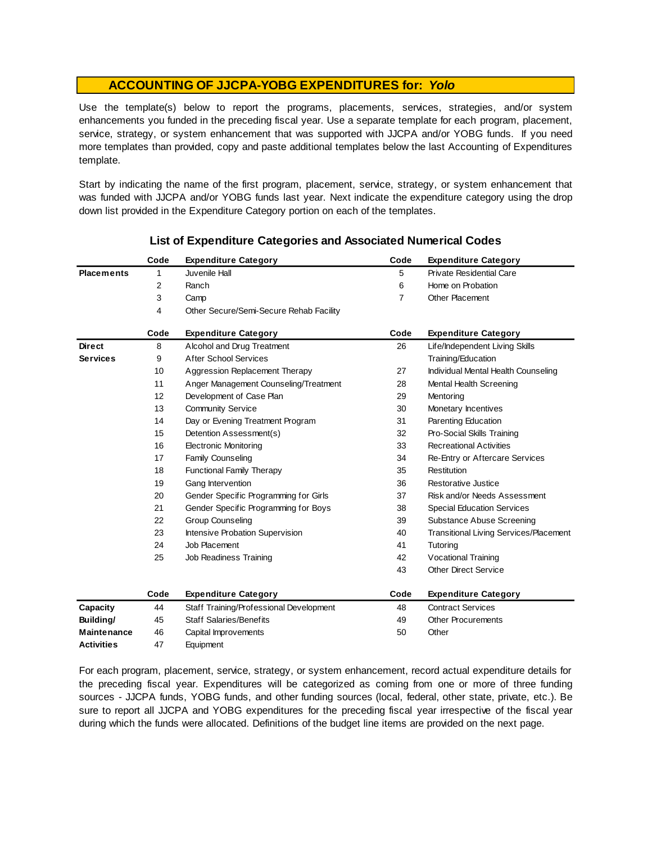Use the template(s) below to report the programs, placements, services, strategies, and/or system enhancements you funded in the preceding fiscal year. Use <sup>a</sup> separate template for each program, placement, service, strategy, or system enhancement that was supported with JJCPA and/or YOBG funds. If you need more templates than provided, copy and paste additional templates below the last Accounting of Expenditures template.

Start by indicating the name of the first program, placement, service, strategy, or system enhancement that was funded with JJCPA and/or YOBG funds last year. Next indicate the expenditure category using the drop down list provided in the Expenditure Category portion on each of the templates.

|                    | Code | <b>Expenditure Category</b>             | Code           | <b>Expenditure Category</b>                   |
|--------------------|------|-----------------------------------------|----------------|-----------------------------------------------|
| <b>Placements</b>  | 1    | Juvenile Hall                           | 5              | <b>Private Residential Care</b>               |
|                    | 2    | Ranch                                   | 6              | Home on Probation                             |
|                    | 3    | Camp                                    | $\overline{7}$ | <b>Other Placement</b>                        |
|                    | 4    | Other Secure/Semi-Secure Rehab Facility |                |                                               |
|                    | Code | <b>Expenditure Category</b>             | Code           | <b>Expenditure Category</b>                   |
| <b>Direct</b>      | 8    | Alcohol and Drug Treatment              | 26             | Life/Independent Living Skills                |
| <b>Services</b>    | 9    | <b>After School Services</b>            |                | Training/Education                            |
|                    | 10   | Aggression Replacement Therapy          | 27             | Individual Mental Health Counseling           |
|                    | 11   | Anger Management Counseling/Treatment   | 28             | Mental Health Screening                       |
|                    | 12   | Development of Case Plan                | 29             | Mentoring                                     |
|                    | 13   | <b>Community Service</b>                | 30             | Monetary Incentives                           |
|                    | 14   | Day or Evening Treatment Program        | 31             | Parenting Education                           |
|                    | 15   | Detention Assessment(s)                 | 32             | Pro-Social Skills Training                    |
|                    | 16   | <b>Electronic Monitoring</b>            | 33             | <b>Recreational Activities</b>                |
|                    | 17   | <b>Family Counseling</b>                | 34             | Re-Entry or Aftercare Services                |
|                    | 18   | <b>Functional Family Therapy</b>        | 35             | Restitution                                   |
|                    | 19   | Gang Intervention                       | 36             | Restorative Justice                           |
|                    | 20   | Gender Specific Programming for Girls   | 37             | Risk and/or Needs Assessment                  |
|                    | 21   | Gender Specific Programming for Boys    | 38             | <b>Special Education Services</b>             |
|                    | 22   | <b>Group Counseling</b>                 | 39             | <b>Substance Abuse Screening</b>              |
|                    | 23   | Intensive Probation Supervision         | 40             | <b>Transitional Living Services/Placement</b> |
|                    | 24   | Job Placement                           | 41             | Tutoring                                      |
|                    | 25   | Job Readiness Training                  | 42             | Vocational Training                           |
|                    |      |                                         | 43             | <b>Other Direct Service</b>                   |
|                    | Code | <b>Expenditure Category</b>             | Code           | <b>Expenditure Category</b>                   |
| Capacity           | 44   | Staff Training/Professional Development | 48             | <b>Contract Services</b>                      |
| Building/          | 45   | <b>Staff Salaries/Benefits</b>          | 49             | <b>Other Procurements</b>                     |
| <b>Maintenance</b> | 46   | Capital Improvements                    | 50             | Other                                         |
| <b>Activities</b>  | 47   | Equipment                               |                |                                               |

### **List of Expenditure Categories and Associated Numerical Codes**

For each program, placement, service, strategy, or system enhancement, record actual expenditure details for the preceding fiscal year. Expenditures will be categorized as coming from one or more of three funding sources - JJCPA funds, YOBG funds, and other funding sources (local, federal, other state, private, etc.). Be sure to report all JJCPA and YOBG expenditures for the preceding fiscal year irrespective of the fiscal year during which the funds were allocated. Definitions of the budget line items are provided on the next page.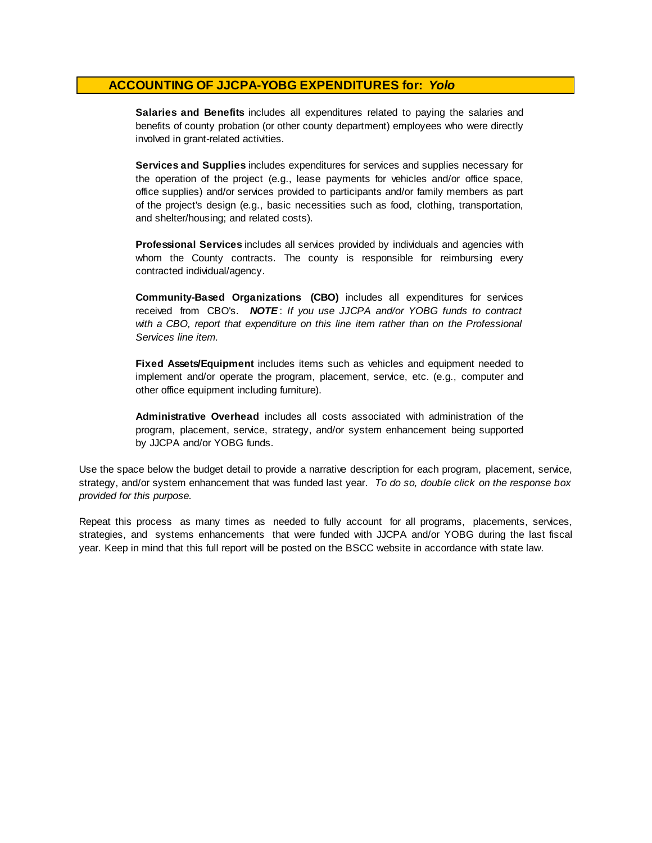**Salaries and Benefits** includes all expenditures related to paying the salaries and benefits of county probation (or other county department) employees who were directly involved in grant-related activities.

**Services and Supplies** includes expenditures for services and supplies necessary for the operation of the project (e.g., lease payments for vehicles and/or office space, office supplies) and/or services provided to participants and/or family members as part of the project's design (e.g., basic necessities such as food, clothing, transportation, and shelter/housing; and related costs).

**Professional Services** includes all services provided by individuals and agencies with whom the County contracts. The county is responsible for reimbursing every contracted individual/agency.

**Community-Based Organizations (CBO)** includes all expenditures for services received from CBO's. *NOTE* : *I f you use JJCPA and/or YOBG funds t o contract with <sup>a</sup> CBO, report that expenditure on this line item rather than on the Professional Services line item.*

**Fixed Assets/Equipment** includes items such as vehicles and equipment needed to implement and/or operate the program, placement, service, etc. (e.g., computer and other office equipment including furniture).

**Administrative Overhead** includes all costs associated with administration of the program, placement, service, strategy, and/or system enhancement being supported by JJCPA and/or YOBG funds.

Use the space below the budget detail to provide a narrative description for each program, placement, service, strategy, and/or system enhancement that was funded last year. *To do so, double click on the response box provided for this purpose.* 

Repeat this process as many times as needed to fully account for all programs, placements, services, strategies, and systems enhancements that were funded with JJCPA and/or YOBG during the last fiscal year. Keep in mind that this full report will be posted on the BSCC website in accordance with state law.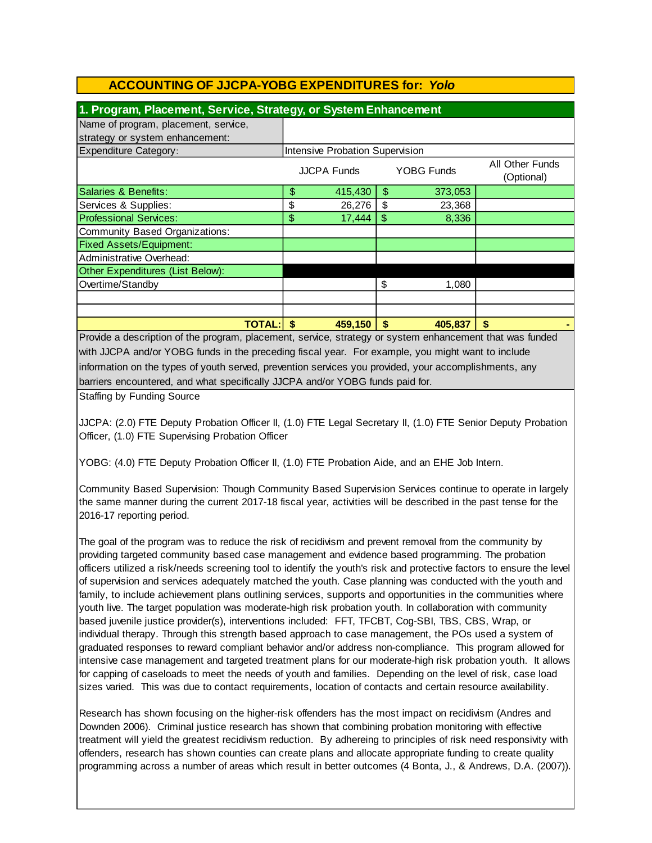| 1. Program, Placement, Service, Strategy, or System Enhancement |    |                                 |    |            |                                      |
|-----------------------------------------------------------------|----|---------------------------------|----|------------|--------------------------------------|
| Name of program, placement, service,                            |    |                                 |    |            |                                      |
| strategy or system enhancement:                                 |    |                                 |    |            |                                      |
| <b>Expenditure Category:</b>                                    |    | Intensive Probation Supervision |    |            |                                      |
|                                                                 |    | JJCPA Funds                     |    | YOBG Funds | <b>All Other Funds</b><br>(Optional) |
| Salaries & Benefits:                                            | \$ | 415,430                         | \$ | 373,053    |                                      |
| Services & Supplies:                                            | \$ | 26,276                          | \$ | 23,368     |                                      |
| <b>Professional Services:</b>                                   | \$ | 17,444                          | S. | 8,336      |                                      |
| Community Based Organizations:                                  |    |                                 |    |            |                                      |
| <b>Fixed Assets/Equipment:</b>                                  |    |                                 |    |            |                                      |
| Administrative Overhead:                                        |    |                                 |    |            |                                      |
| Other Expenditures (List Below):                                |    |                                 |    |            |                                      |
| Overtime/Standby                                                |    |                                 | \$ | 1,080      |                                      |
|                                                                 |    |                                 |    |            |                                      |
|                                                                 |    |                                 |    |            |                                      |
| <b>TOTAL:</b>                                                   | S  | 459,150                         | S  | 405.837    | \$                                   |

Provide a description of the program, placement, service, strategy or system enhancement that was funded with JJCPA and/or YOBG funds in the preceding fiscal year. For example, you might want to include information on the types of youth served, prevention services you provided, your accomplishments, any barriers encountered, and what specifically JJCPA and/or YOBG funds paid for.

Staffing by Funding Source

JJCPA: (2.0) FTE Deputy Probation Officer II, (1.0) FTE Legal Secretary II, (1.0) FTE Senior Deputy Probation Officer, (1.0) FTE Supervising Probation Officer

YOBG: (4.0) FTE Deputy Probation Officer II, (1.0) FTE Probation Aide, and an EHE Job Intern.

Community Based Supervision: Though Community Based Supervision Services continue to operate in largely the same manner during the current 2017-18 fiscal year, activities will be described in the past tense for the 2016-17 reporting period.

The goal of the program was to reduce the risk of recidivism and prevent removal from the community by providing targeted community based case management and evidence based programming. The probation officers utilized a risk/needs screening tool to identify the youth's risk and protective factors to ensure the level of supervision and services adequately matched the youth. Case planning was conducted with the youth and family, to include achievement plans outlining services, supports and opportunities in the communities where youth live. The target population was moderate-high risk probation youth. In collaboration with community based juvenile justice provider(s), interventions included: FFT, TFCBT, Cog-SBI, TBS, CBS, Wrap, or individual therapy. Through this strength based approach to case management, the POs used a system of graduated responses to reward compliant behavior and/or address non-compliance. This program allowed for intensive case management and targeted treatment plans for our moderate-high risk probation youth. It allows for capping of caseloads to meet the needs of youth and families. Depending on the level of risk, case load sizes varied. This was due to contact requirements, location of contacts and certain resource availability.

Research has shown focusing on the higher-risk offenders has the most impact on recidivism (Andres and Downden 2006). Criminal justice research has shown that combining probation monitoring with effective treatment will yield the greatest recidivism reduction. By adhereing to principles of risk need responsivity with offenders, research has shown counties can create plans and allocate appropriate funding to create quality programming across a number of areas which result in better outcomes (4 Bonta, J., & Andrews, D.A. (2007)).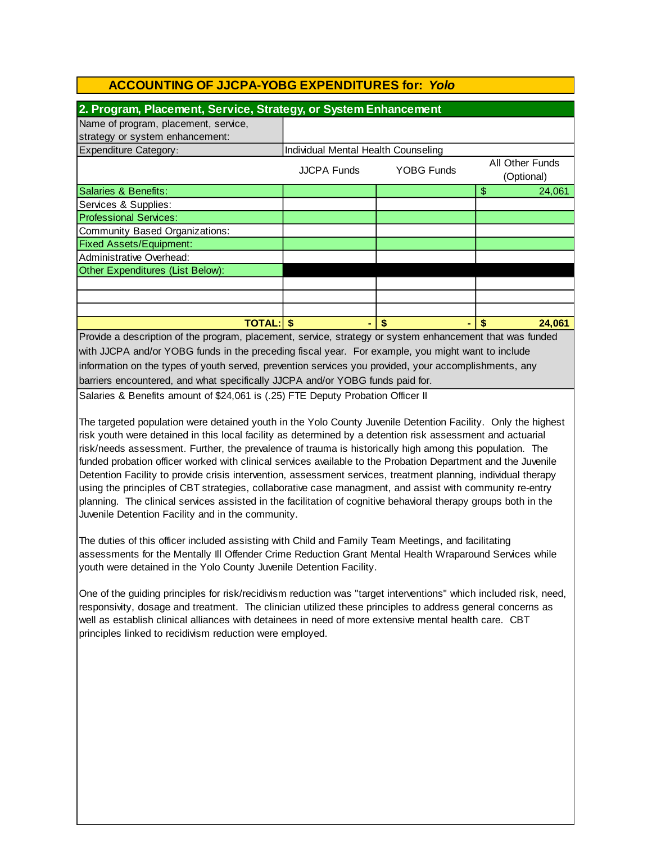| 2. Program, Placement, Service, Strategy, or System Enhancement |                                     |                   |                               |
|-----------------------------------------------------------------|-------------------------------------|-------------------|-------------------------------|
| Name of program, placement, service,                            |                                     |                   |                               |
| strategy or system enhancement:                                 |                                     |                   |                               |
| <b>Expenditure Category:</b>                                    | Individual Mental Health Counseling |                   |                               |
|                                                                 | <b>JJCPA Funds</b>                  | <b>YOBG Funds</b> | All Other Funds<br>(Optional) |
| Salaries & Benefits:                                            |                                     |                   | \$<br>24,061                  |
| Services & Supplies:                                            |                                     |                   |                               |
| <b>Professional Services:</b>                                   |                                     |                   |                               |
| Community Based Organizations:                                  |                                     |                   |                               |
| <b>Fixed Assets/Equipment:</b>                                  |                                     |                   |                               |
| Administrative Overhead:                                        |                                     |                   |                               |
| Other Expenditures (List Below):                                |                                     |                   |                               |
|                                                                 |                                     |                   |                               |
|                                                                 |                                     |                   |                               |
|                                                                 |                                     |                   |                               |
| TOTAL: I                                                        |                                     | S                 | 24,061                        |

barriers encountered, and what specifically JJCPA and/or YOBG funds paid for. Provide a description of the program, placement, service, strategy or system enhancement that was funded with JJCPA and/or YOBG funds in the preceding fiscal year. For example, you might want to include information on the types of youth served, prevention services you provided, your accomplishments, any

Salaries & Benefits amount of \$24,061 is (.25) FTE Deputy Probation Officer II

The targeted population were detained youth in the Yolo County Juvenile Detention Facility. Only the highest risk youth were detained in this local facility as determined by a detention risk assessment and actuarial risk/needs assessment. Further, the prevalence of trauma is historically high among this population. The funded probation officer worked with clinical services available to the Probation Department and the Juvenile Detention Facility to provide crisis intervention, assessment services, treatment planning, individual therapy using the principles of CBT strategies, collaborative case managment, and assist with community re-entry planning. The clinical services assisted in the facilitation of cognitive behavioral therapy groups both in the Juvenile Detention Facility and in the community.

The duties of this officer included assisting with Child and Family Team Meetings, and facilitating assessments for the Mentally Ill Offender Crime Reduction Grant Mental Health Wraparound Services while youth were detained in the Yolo County Juvenile Detention Facility.

One of the guiding principles for risk/recidivism reduction was "target interventions" which included risk, need, responsivity, dosage and treatment. The clinician utilized these principles to address general concerns as well as establish clinical alliances with detainees in need of more extensive mental health care. CBT principles linked to recidivism reduction were employed.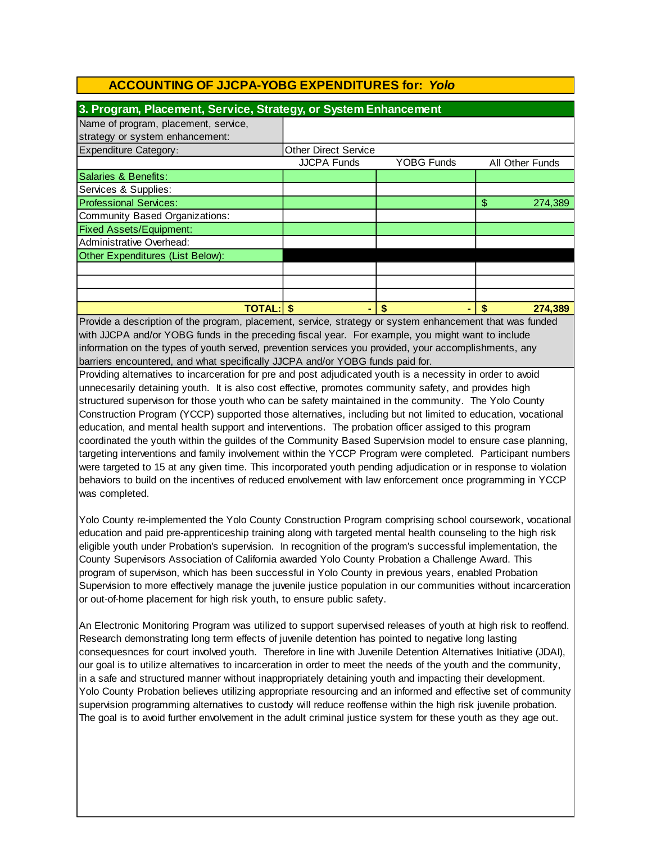| 3. Program, Placement, Service, Strategy, or System Enhancement |                             |                   |                 |  |  |  |
|-----------------------------------------------------------------|-----------------------------|-------------------|-----------------|--|--|--|
| Name of program, placement, service,                            |                             |                   |                 |  |  |  |
| strategy or system enhancement:                                 |                             |                   |                 |  |  |  |
| <b>Expenditure Category:</b>                                    | <b>Other Direct Service</b> |                   |                 |  |  |  |
|                                                                 | <b>JJCPA Funds</b>          | <b>YOBG Funds</b> | All Other Funds |  |  |  |
| Salaries & Benefits:                                            |                             |                   |                 |  |  |  |
| Services & Supplies:                                            |                             |                   |                 |  |  |  |
| <b>Professional Services:</b>                                   |                             |                   | S<br>274,389    |  |  |  |
| Community Based Organizations:                                  |                             |                   |                 |  |  |  |
| <b>Fixed Assets/Equipment:</b>                                  |                             |                   |                 |  |  |  |
| Administrative Overhead:                                        |                             |                   |                 |  |  |  |
| Other Expenditures (List Below):                                |                             |                   |                 |  |  |  |
|                                                                 |                             |                   |                 |  |  |  |
|                                                                 |                             |                   |                 |  |  |  |
|                                                                 |                             |                   |                 |  |  |  |
| <b>TOTAL:</b>                                                   |                             |                   | 274,389         |  |  |  |

barriers encountered, and what specifically JJCPA and/or YOBG funds paid for. information on the types of youth served, prevention services you provided, your accomplishments, any Provide a description of the program, placement, service, strategy or system enhancement that was funded with JJCPA and/or YOBG funds in the preceding fiscal year. For example, you might want to include

Providing alternatives to incarceration for pre and post adjudicated youth is a necessity in order to avoid unnecesarily detaining youth. It is also cost effective, promotes community safety, and provides high structured supervison for those youth who can be safety maintained in the community. The Yolo County Construction Program (YCCP) supported those alternatives, including but not limited to education, vocational education, and mental health support and interventions. The probation officer assiged to this program coordinated the youth within the guildes of the Community Based Supervision model to ensure case planning, targeting interventions and family involvement within the YCCP Program were completed. Participant numbers were targeted to 15 at any given time. This incorporated youth pending adjudication or in response to violation behaviors to build on the incentives of reduced envolvement with law enforcement once programming in YCCP was completed.

Yolo County re-implemented the Yolo County Construction Program comprising school coursework, vocational education and paid pre-apprenticeship training along with targeted mental health counseling to the high risk eligible youth under Probation's supervision. In recognition of the program's successful implementation, the County Supervisors Association of California awarded Yolo County Probation a Challenge Award. This program of supervison, which has been successful in Yolo County in previous years, enabled Probation Supervision to more effectively manage the juvenile justice population in our communities without incarceration or out-of-home placement for high risk youth, to ensure public safety.

An Electronic Monitoring Program was utilized to support supervised releases of youth at high risk to reoffend. Research demonstrating long term effects of juvenile detention has pointed to negative long lasting consequesnces for court involved youth. Therefore in line with Juvenile Detention Alternatives Initiative (JDAI), our goal is to utilize alternatives to incarceration in order to meet the needs of the youth and the community, in a safe and structured manner without inappropriately detaining youth and impacting their development. Yolo County Probation believes utilizing appropriate resourcing and an informed and effective set of community supervision programming alternatives to custody will reduce reoffense within the high risk juvenile probation. The goal is to avoid further envolvement in the adult criminal justice system for these youth as they age out.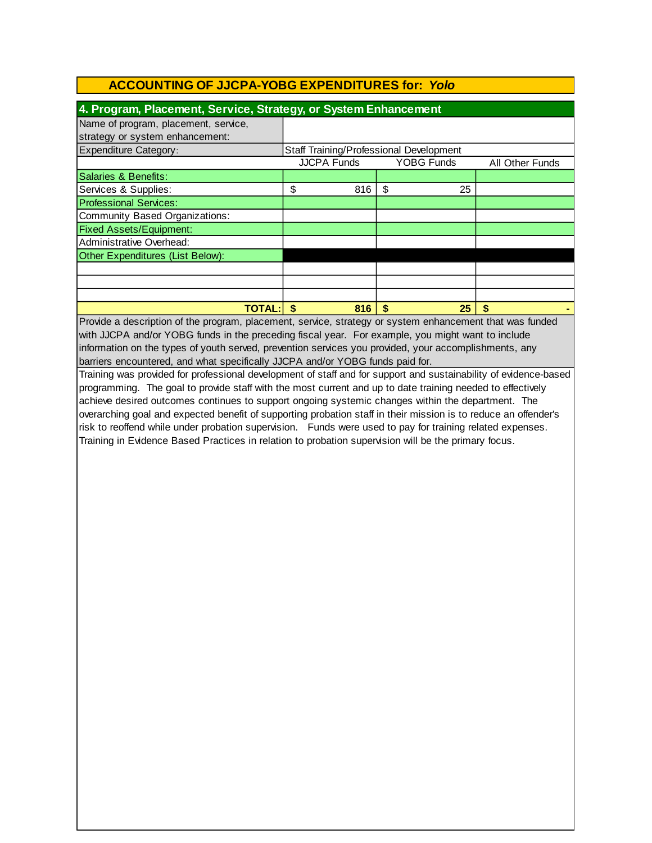| 4. Program, Placement, Service, Strategy, or System Enhancement |                                         |     |                   |                 |  |
|-----------------------------------------------------------------|-----------------------------------------|-----|-------------------|-----------------|--|
| Name of program, placement, service,                            |                                         |     |                   |                 |  |
| strategy or system enhancement:                                 |                                         |     |                   |                 |  |
| <b>Expenditure Category:</b>                                    | Staff Training/Professional Development |     |                   |                 |  |
|                                                                 | <b>JJCPA Funds</b>                      |     | <b>YOBG Funds</b> | All Other Funds |  |
| Salaries & Benefits:                                            |                                         |     |                   |                 |  |
| Services & Supplies:                                            | \$                                      | 816 | \$<br>25          |                 |  |
| <b>Professional Services:</b>                                   |                                         |     |                   |                 |  |
| Community Based Organizations:                                  |                                         |     |                   |                 |  |
| <b>Fixed Assets/Equipment:</b>                                  |                                         |     |                   |                 |  |
| Administrative Overhead:                                        |                                         |     |                   |                 |  |
| Other Expenditures (List Below):                                |                                         |     |                   |                 |  |
|                                                                 |                                         |     |                   |                 |  |
|                                                                 |                                         |     |                   |                 |  |
|                                                                 |                                         |     |                   |                 |  |
| <b>TOTAL:</b>                                                   |                                         | 816 | 25<br>S           | \$              |  |

Provide a description of the program, placement, service, strategy or system enhancement that was funded with JJCPA and/or YOBG funds in the preceding fiscal year. For example, you might want to include information on the types of youth served, prevention services you provided, your accomplishments, any barriers encountered, and what specifically JJCPA and/or YOBG funds paid for.

Training was provided for professional development of staff and for support and sustainability of evidence-based programming. The goal to provide staff with the most current and up to date training needed to effectively achieve desired outcomes continues to support ongoing systemic changes within the department. The overarching goal and expected benefit of supporting probation staff in their mission is to reduce an offender's risk to reoffend while under probation supervision. Funds were used to pay for training related expenses. Training in Evidence Based Practices in relation to probation supervision will be the primary focus.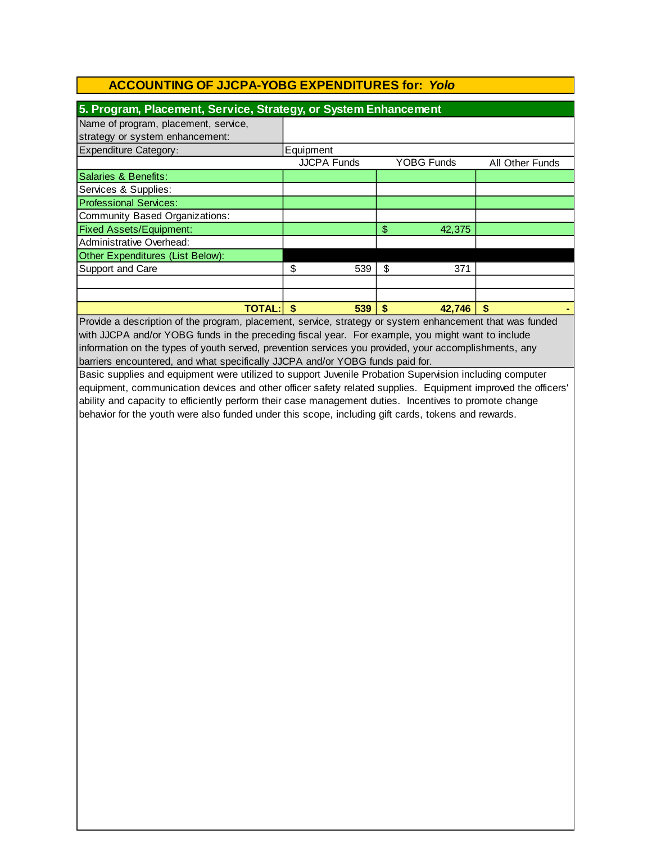| 5. Program, Placement, Service, Strategy, or System Enhancement |                    |                   |                 |  |  |
|-----------------------------------------------------------------|--------------------|-------------------|-----------------|--|--|
| Name of program, placement, service,                            |                    |                   |                 |  |  |
| strategy or system enhancement:                                 |                    |                   |                 |  |  |
| <b>Expenditure Category:</b>                                    | Equipment          |                   |                 |  |  |
|                                                                 | <b>JJCPA Funds</b> | <b>YOBG Funds</b> | All Other Funds |  |  |
| Salaries & Benefits:                                            |                    |                   |                 |  |  |
| Services & Supplies:                                            |                    |                   |                 |  |  |
| <b>Professional Services:</b>                                   |                    |                   |                 |  |  |
| Community Based Organizations:                                  |                    |                   |                 |  |  |
| <b>Fixed Assets/Equipment:</b>                                  |                    | \$<br>42,375      |                 |  |  |
| Administrative Overhead:                                        |                    |                   |                 |  |  |
| Other Expenditures (List Below):                                |                    |                   |                 |  |  |
| Support and Care                                                | \$<br>539          | \$<br>371         |                 |  |  |
|                                                                 |                    |                   |                 |  |  |
|                                                                 |                    |                   |                 |  |  |
| <b>TOTAL:</b>                                                   | 539                | S<br>42,746       | \$              |  |  |

Provide a description of the program, placement, service, strategy or system enhancement that was funded with JJCPA and/or YOBG funds in the preceding fiscal year. For example, you might want to include information on the types of youth served, prevention services you provided, your accomplishments, any barriers encountered, and what specifically JJCPA and/or YOBG funds paid for.

Basic supplies and equipment were utilized to support Juvenile Probation Supervision including computer equipment, communication devices and other officer safety related supplies. Equipment improved the officers' ability and capacity to efficiently perform their case management duties. Incentives to promote change behavior for the youth were also funded under this scope, including gift cards, tokens and rewards.